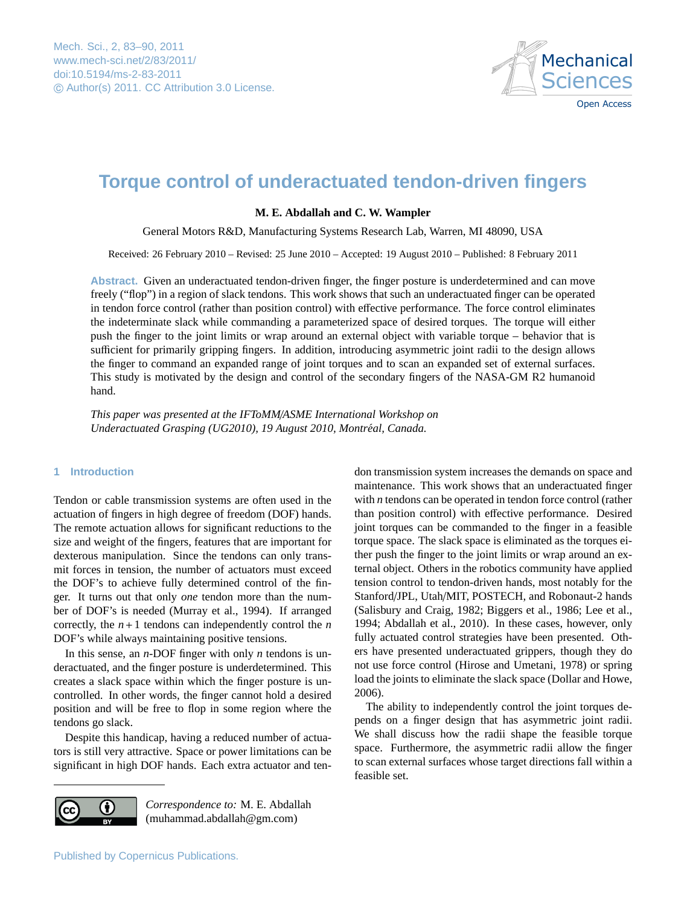

# <span id="page-0-0"></span>**Torque control of underactuated tendon-driven fingers**

# **M. E. Abdallah and C. W. Wampler**

General Motors R&D, Manufacturing Systems Research Lab, Warren, MI 48090, USA

Received: 26 February 2010 – Revised: 25 June 2010 – Accepted: 19 August 2010 – Published: 8 February 2011

**Abstract.** Given an underactuated tendon-driven finger, the finger posture is underdetermined and can move freely ("flop") in a region of slack tendons. This work shows that such an underactuated finger can be operated in tendon force control (rather than position control) with effective performance. The force control eliminates the indeterminate slack while commanding a parameterized space of desired torques. The torque will either push the finger to the joint limits or wrap around an external object with variable torque – behavior that is sufficient for primarily gripping fingers. In addition, introducing asymmetric joint radii to the design allows the finger to command an expanded range of joint torques and to scan an expanded set of external surfaces. This study is motivated by the design and control of the secondary fingers of the NASA-GM R2 humanoid hand.

*This paper was presented at the IFToMM*/*ASME International Workshop on Underactuated Grasping (UG2010), 19 August 2010, Montréal, Canada.* 

#### **1 Introduction**

Tendon or cable transmission systems are often used in the actuation of fingers in high degree of freedom (DOF) hands. The remote actuation allows for significant reductions to the size and weight of the fingers, features that are important for dexterous manipulation. Since the tendons can only transmit forces in tension, the number of actuators must exceed the DOF's to achieve fully determined control of the finger. It turns out that only *one* tendon more than the number of DOF's is needed [\(Murray et al.,](#page-7-0) [1994\)](#page-7-0). If arranged correctly, the  $n+1$  tendons can independently control the *n* DOF's while always maintaining positive tensions.

In this sense, an *n*-DOF finger with only *n* tendons is underactuated, and the finger posture is underdetermined. This creates a slack space within which the finger posture is uncontrolled. In other words, the finger cannot hold a desired position and will be free to flop in some region where the tendons go slack.

Despite this handicap, having a reduced number of actuators is still very attractive. Space or power limitations can be significant in high DOF hands. Each extra actuator and ten-



*Correspondence to:* M. E. Abdallah (muhammad.abdallah@gm.com)

don transmission system increases the demands on space and maintenance. This work shows that an underactuated finger with *n* tendons can be operated in tendon force control (rather than position control) with effective performance. Desired joint torques can be commanded to the finger in a feasible torque space. The slack space is eliminated as the torques either push the finger to the joint limits or wrap around an external object. Others in the robotics community have applied tension control to tendon-driven hands, most notably for the Stanford/JPL, Utah/MIT, POSTECH, and Robonaut-2 hands [\(Salisbury and Craig,](#page-7-1) [1982;](#page-7-1) [Biggers et al.,](#page-7-2) [1986;](#page-7-2) [Lee et al.,](#page-7-3) [1994;](#page-7-3) [Abdallah et al.,](#page-7-4) [2010\)](#page-7-4). In these cases, however, only fully actuated control strategies have been presented. Others have presented underactuated grippers, though they do not use force control [\(Hirose and Umetani,](#page-7-5) [1978\)](#page-7-5) or spring load the joints to eliminate the slack space [\(Dollar and Howe,](#page-7-6) [2006\)](#page-7-6).

The ability to independently control the joint torques depends on a finger design that has asymmetric joint radii. We shall discuss how the radii shape the feasible torque space. Furthermore, the asymmetric radii allow the finger to scan external surfaces whose target directions fall within a feasible set.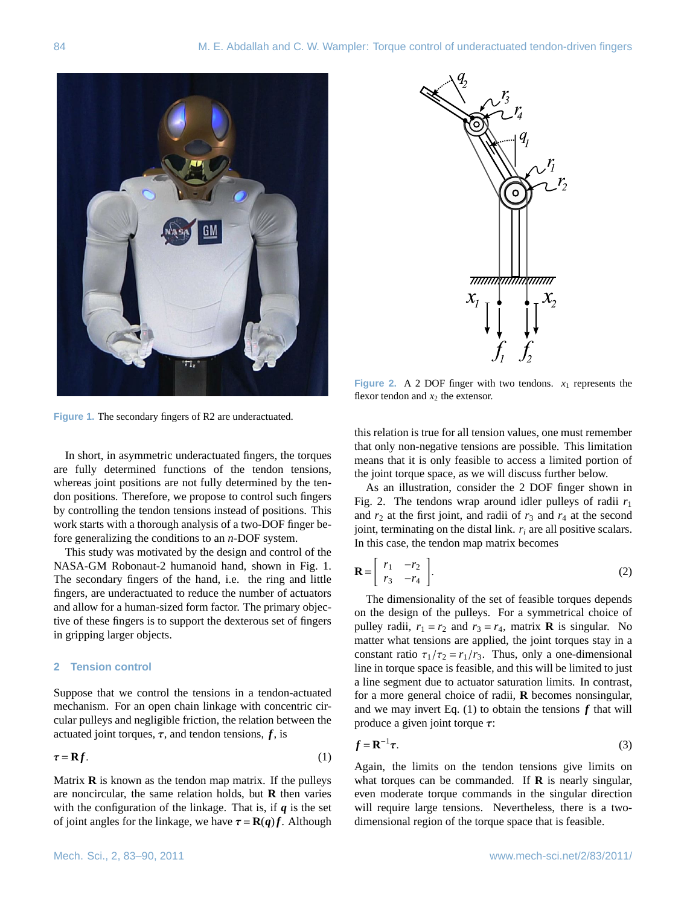



<span id="page-1-0"></span>**Figure 1.** The secondary fingers of R2 are underactuated.

In short, in asymmetric underactuated fingers, the torques are fully determined functions of the tendon tensions, whereas joint positions are not fully determined by the tendon positions. Therefore, we propose to control such fingers by controlling the tendon tensions instead of positions. This work starts with a thorough analysis of a two-DOF finger before generalizing the conditions to an *n*-DOF system.

This study was motivated by the design and control of the NASA-GM Robonaut-2 humanoid hand, shown in Fig. [1.](#page-1-0) The secondary fingers of the hand, i.e. the ring and little fingers, are underactuated to reduce the number of actuators and allow for a human-sized form factor. The primary objective of these fingers is to support the dexterous set of fingers in gripping larger objects.

#### **2 Tension control**

Suppose that we control the tensions in a tendon-actuated mechanism. For an open chain linkage with concentric circular pulleys and negligible friction, the relation between the actuated joint torques,  $\tau$ , and tendon tensions,  $f$ , is

<span id="page-1-2"></span>
$$
\tau = \mathbf{R}f. \tag{1}
$$

Matrix **R** is known as the tendon map matrix. If the pulleys are noncircular, the same relation holds, but **R** then varies with the configuration of the linkage. That is, if *q* is the set of joint angles for the linkage, we have  $\tau = \mathbf{R}(q)f$ . Although

<span id="page-1-1"></span>**Figure 2.** A 2 DOF finger with two tendons.  $x_1$  represents the flexor tendon and  $x_2$  the extensor.

this relation is true for all tension values, one must remember that only non-negative tensions are possible. This limitation means that it is only feasible to access a limited portion of the joint torque space, as we will discuss further below.

As an illustration, consider the 2 DOF finger shown in Fig. [2.](#page-1-1) The tendons wrap around idler pulleys of radii *r*<sup>1</sup> and  $r_2$  at the first joint, and radii of  $r_3$  and  $r_4$  at the second joint, terminating on the distal link. *r<sup>i</sup>* are all positive scalars. In this case, the tendon map matrix becomes

$$
\mathbf{R} = \begin{bmatrix} r_1 & -r_2 \\ r_3 & -r_4 \end{bmatrix} .
$$
 (2)

The dimensionality of the set of feasible torques depends on the design of the pulleys. For a symmetrical choice of pulley radii,  $r_1 = r_2$  and  $r_3 = r_4$ , matrix **R** is singular. No matter what tensions are applied, the joint torques stay in a constant ratio  $\tau_1/\tau_2 = r_1/r_3$ . Thus, only a one-dimensional line in torque space is feasible, and this will be limited to just a line segment due to actuator saturation limits. In contrast, for a more general choice of radii, **R** becomes nonsingular, and we may invert Eq.  $(1)$  to obtain the tensions  $f$  that will produce a given joint torque  $\tau$ :

$$
f = \mathbf{R}^{-1} \boldsymbol{\tau}.
$$
 (3)

Again, the limits on the tendon tensions give limits on what torques can be commanded. If **R** is nearly singular, even moderate torque commands in the singular direction will require large tensions. Nevertheless, there is a twodimensional region of the torque space that is feasible.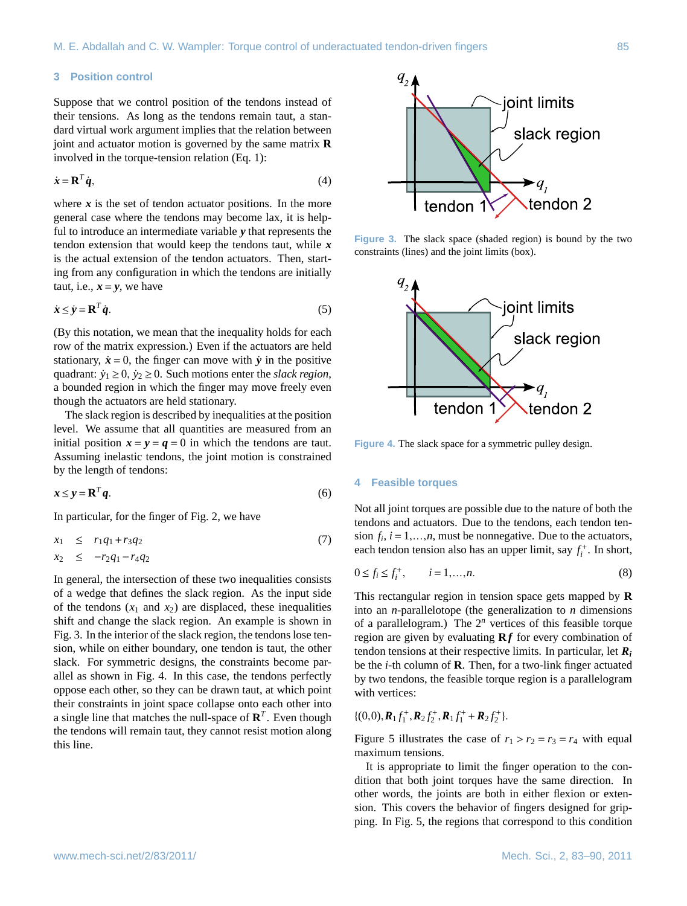# **3 Position control**

Suppose that we control position of the tendons instead of their tensions. As long as the tendons remain taut, a standard virtual work argument implies that the relation between joint and actuator motion is governed by the same matrix **R** involved in the torque-tension relation (Eq. [1\)](#page-1-2):

$$
\dot{\mathbf{x}} = \mathbf{R}^T \dot{\mathbf{q}},\tag{4}
$$

where  $x$  is the set of tendon actuator positions. In the more general case where the tendons may become lax, it is helpful to introduce an intermediate variable *y* that represents the tendon extension that would keep the tendons taut, while *x* is the actual extension of the tendon actuators. Then, starting from any configuration in which the tendons are initially taut, i.e.,  $x = y$ , we have

$$
\dot{\mathbf{x}} \le \dot{\mathbf{y}} = \mathbf{R}^T \dot{\mathbf{q}}.\tag{5}
$$

(By this notation, we mean that the inequality holds for each row of the matrix expression.) Even if the actuators are held stationary,  $\dot{x} = 0$ , the finger can move with  $\dot{y}$  in the positive quadrant:  $\dot{y}_1 \geq 0$ ,  $\dot{y}_2 \geq 0$ . Such motions enter the *slack region*, a bounded region in which the finger may move freely even though the actuators are held stationary.

The slack region is described by inequalities at the position level. We assume that all quantities are measured from an initial position  $x = y = q = 0$  in which the tendons are taut. Assuming inelastic tendons, the joint motion is constrained by the length of tendons:

$$
x \le y = \mathbf{R}^T q. \tag{6}
$$

In particular, for the finger of Fig. [2,](#page-1-1) we have

$$
x_1 \le r_1 q_1 + r_3 q_2 \tag{7}
$$
  

$$
x_2 \le -r_2 q_1 - r_4 q_2
$$

In general, the intersection of these two inequalities consists of a wedge that defines the slack region. As the input side of the tendons  $(x_1 \text{ and } x_2)$  are displaced, these inequalities shift and change the slack region. An example is shown in Fig. [3.](#page-2-0) In the interior of the slack region, the tendons lose tension, while on either boundary, one tendon is taut, the other slack. For symmetric designs, the constraints become parallel as shown in Fig. [4.](#page-2-1) In this case, the tendons perfectly oppose each other, so they can be drawn taut, at which point their constraints in joint space collapse onto each other into a single line that matches the null-space of  $\mathbf{R}^T$ . Even though the tendons will remain taut, they cannot resist motion along this line.



**Figure 3.** The slack space (shaded region) is bound by the two constraints (lines) and the joint limits (box).

<span id="page-2-0"></span>

<span id="page-2-1"></span>**Figure 4.** The slack space for a symmetric pulley design.

### **4 Feasible torques**

Not all joint torques are possible due to the nature of both the tendons and actuators. Due to the tendons, each tendon tension  $f_i$ ,  $i = 1,...,n$ , must be nonnegative. Due to the actuators, each tendon tension also has an upper limit, say  $f^+$ . In short each tendon tension also has an upper limit, say  $f_i^+$ . In short,

$$
0 \le f_i \le f_i^+, \qquad i = 1, ..., n. \tag{8}
$$

This rectangular region in tension space gets mapped by **R** into an *n*-parallelotope (the generalization to *n* dimensions of a parallelogram.) The 2*<sup>n</sup>* vertices of this feasible torque region are given by evaluating **R***f* for every combination of tendon tensions at their respective limits. In particular, let *R<sup>i</sup>* be the *i*-th column of **R**. Then, for a two-link finger actuated by two tendons, the feasible torque region is a parallelogram with vertices:

$$
\{(0,0),\boldsymbol{R}_1f_1^+, \boldsymbol{R}_2f_2^+, \boldsymbol{R}_1f_1^+ + \boldsymbol{R}_2f_2^+\}.
$$

Figure [5](#page-3-0) illustrates the case of  $r_1 > r_2 = r_3 = r_4$  with equal maximum tensions.

It is appropriate to limit the finger operation to the condition that both joint torques have the same direction. In other words, the joints are both in either flexion or extension. This covers the behavior of fingers designed for gripping. In Fig. [5,](#page-3-0) the regions that correspond to this condition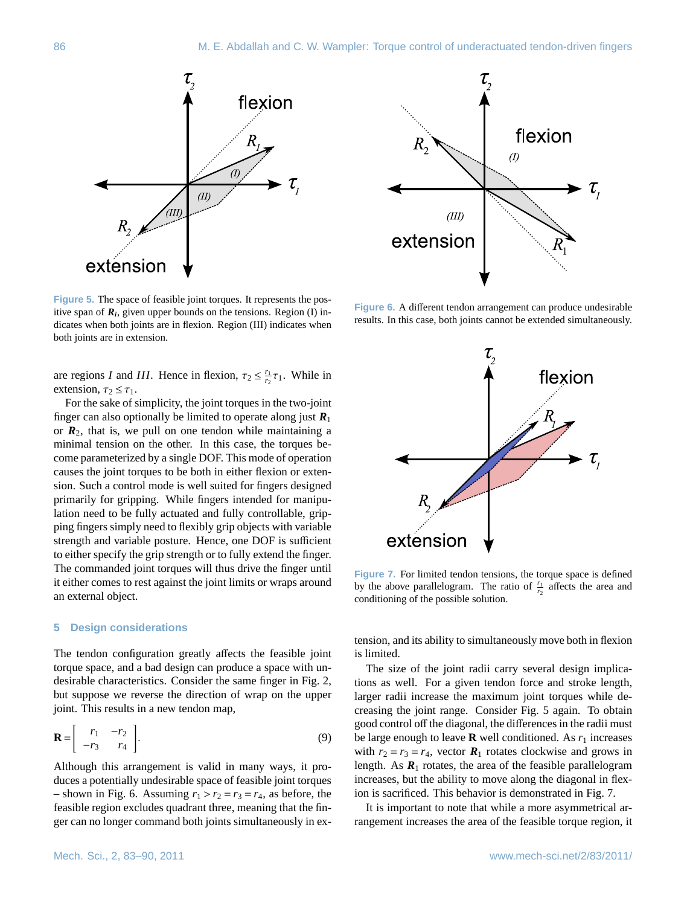

<span id="page-3-0"></span>**Figure 5.** The space of feasible joint torques. It represents the positive span of  $R_i$ , given upper bounds on the tensions. Region (I) indicates when both joints are in flexion. Region (III) indicates when both joints are in extension.

are regions *I* and *III*. Hence in flexion,  $\tau_2 \leq \frac{r_1}{r_2} \tau_1$ . While in extension  $\tau_2 \leq \tau_1$ extension,  $\tau_2 \leq \tau_1$ .

For the sake of simplicity, the joint torques in the two-joint finger can also optionally be limited to operate along just  $R_1$ or  $R_2$ , that is, we pull on one tendon while maintaining a minimal tension on the other. In this case, the torques become parameterized by a single DOF. This mode of operation causes the joint torques to be both in either flexion or extension. Such a control mode is well suited for fingers designed primarily for gripping. While fingers intended for manipulation need to be fully actuated and fully controllable, gripping fingers simply need to flexibly grip objects with variable strength and variable posture. Hence, one DOF is sufficient to either specify the grip strength or to fully extend the finger. The commanded joint torques will thus drive the finger until it either comes to rest against the joint limits or wraps around an external object.

#### **5 Design considerations**

The tendon configuration greatly affects the feasible joint torque space, and a bad design can produce a space with undesirable characteristics. Consider the same finger in Fig. [2,](#page-1-1) but suppose we reverse the direction of wrap on the upper joint. This results in a new tendon map,

$$
\mathbf{R} = \begin{bmatrix} r_1 & -r_2 \\ -r_3 & r_4 \end{bmatrix} . \tag{9}
$$

Although this arrangement is valid in many ways, it produces a potentially undesirable space of feasible joint torques – shown in Fig. [6.](#page-3-1) Assuming  $r_1 > r_2 = r_3 = r_4$ , as before, the feasible region excludes quadrant three, meaning that the finger can no longer command both joints simultaneously in ex-



<span id="page-3-1"></span>**Figure 6.** A different tendon arrangement can produce undesirable results. In this case, both joints cannot be extended simultaneously.



<span id="page-3-2"></span>**Figure 7.** For limited tendon tensions, the torque space is defined by the above parallelogram. The ratio of  $\frac{r_1}{r_2}$  affects the area and conditioning of the possible solution.

tension, and its ability to simultaneously move both in flexion is limited.

The size of the joint radii carry several design implications as well. For a given tendon force and stroke length, larger radii increase the maximum joint torques while decreasing the joint range. Consider Fig. [5](#page-3-0) again. To obtain good control off the diagonal, the differences in the radii must be large enough to leave  $\bf{R}$  well conditioned. As  $r_1$  increases with  $r_2 = r_3 = r_4$ , vector  $\mathbf{R}_1$  rotates clockwise and grows in length. As  $R_1$  rotates, the area of the feasible parallelogram increases, but the ability to move along the diagonal in flexion is sacrificed. This behavior is demonstrated in Fig. [7.](#page-3-2)

It is important to note that while a more asymmetrical arrangement increases the area of the feasible torque region, it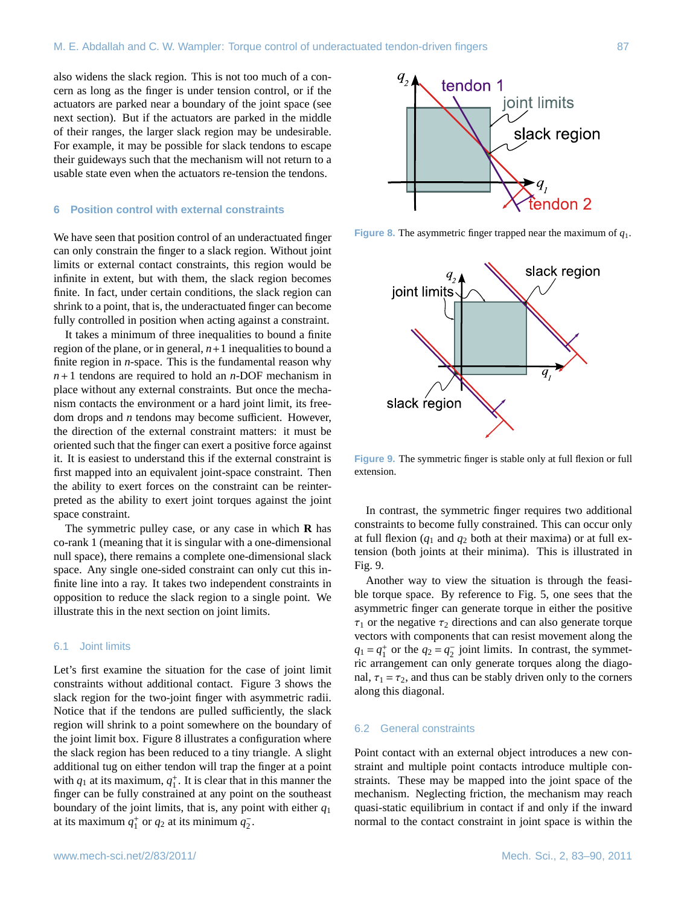also widens the slack region. This is not too much of a concern as long as the finger is under tension control, or if the actuators are parked near a boundary of the joint space (see next section). But if the actuators are parked in the middle of their ranges, the larger slack region may be undesirable. For example, it may be possible for slack tendons to escape their guideways such that the mechanism will not return to a usable state even when the actuators re-tension the tendons.

## **6 Position control with external constraints**

We have seen that position control of an underactuated finger can only constrain the finger to a slack region. Without joint limits or external contact constraints, this region would be infinite in extent, but with them, the slack region becomes finite. In fact, under certain conditions, the slack region can shrink to a point, that is, the underactuated finger can become fully controlled in position when acting against a constraint.

It takes a minimum of three inequalities to bound a finite region of the plane, or in general,  $n+1$  inequalities to bound a finite region in *n*-space. This is the fundamental reason why *n*+1 tendons are required to hold an *n*-DOF mechanism in place without any external constraints. But once the mechanism contacts the environment or a hard joint limit, its freedom drops and *n* tendons may become sufficient. However, the direction of the external constraint matters: it must be oriented such that the finger can exert a positive force against it. It is easiest to understand this if the external constraint is first mapped into an equivalent joint-space constraint. Then the ability to exert forces on the constraint can be reinterpreted as the ability to exert joint torques against the joint space constraint.

The symmetric pulley case, or any case in which **R** has co-rank 1 (meaning that it is singular with a one-dimensional null space), there remains a complete one-dimensional slack space. Any single one-sided constraint can only cut this infinite line into a ray. It takes two independent constraints in opposition to reduce the slack region to a single point. We illustrate this in the next section on joint limits.

# 6.1 Joint limits

Let's first examine the situation for the case of joint limit constraints without additional contact. Figure [3](#page-2-0) shows the slack region for the two-joint finger with asymmetric radii. Notice that if the tendons are pulled sufficiently, the slack region will shrink to a point somewhere on the boundary of the joint limit box. Figure [8](#page-4-0) illustrates a configuration where the slack region has been reduced to a tiny triangle. A slight additional tug on either tendon will trap the finger at a point with  $q_1$  at its maximum,  $q_1^+$ . It is clear that in this manner the finger can be fully constrained at any point on the southeast boundary of the joint limits, that is, any point with either *q*<sup>1</sup> at its maximum  $q_1^+$  or  $q_2$  at its minimum  $q_2^-$ .



**Figure 8.** The asymmetric finger trapped near the maximum of *q*1.

<span id="page-4-0"></span>

<span id="page-4-1"></span>**Figure 9.** The symmetric finger is stable only at full flexion or full extension.

In contrast, the symmetric finger requires two additional constraints to become fully constrained. This can occur only at full flexion  $(q_1$  and  $q_2$  both at their maxima) or at full extension (both joints at their minima). This is illustrated in Fig. [9.](#page-4-1)

Another way to view the situation is through the feasible torque space. By reference to Fig. [5,](#page-3-0) one sees that the asymmetric finger can generate torque in either the positive  $\tau_1$  or the negative  $\tau_2$  directions and can also generate torque vectors with components that can resist movement along the  $q_1 = q_1^+$  or the  $q_2 = q_2^-$  joint limits. In contrast, the symmetric arrangement can only generate torques along the diagonal,  $\tau_1 = \tau_2$ , and thus can be stably driven only to the corners along this diagonal.

## 6.2 General constraints

Point contact with an external object introduces a new constraint and multiple point contacts introduce multiple constraints. These may be mapped into the joint space of the mechanism. Neglecting friction, the mechanism may reach quasi-static equilibrium in contact if and only if the inward normal to the contact constraint in joint space is within the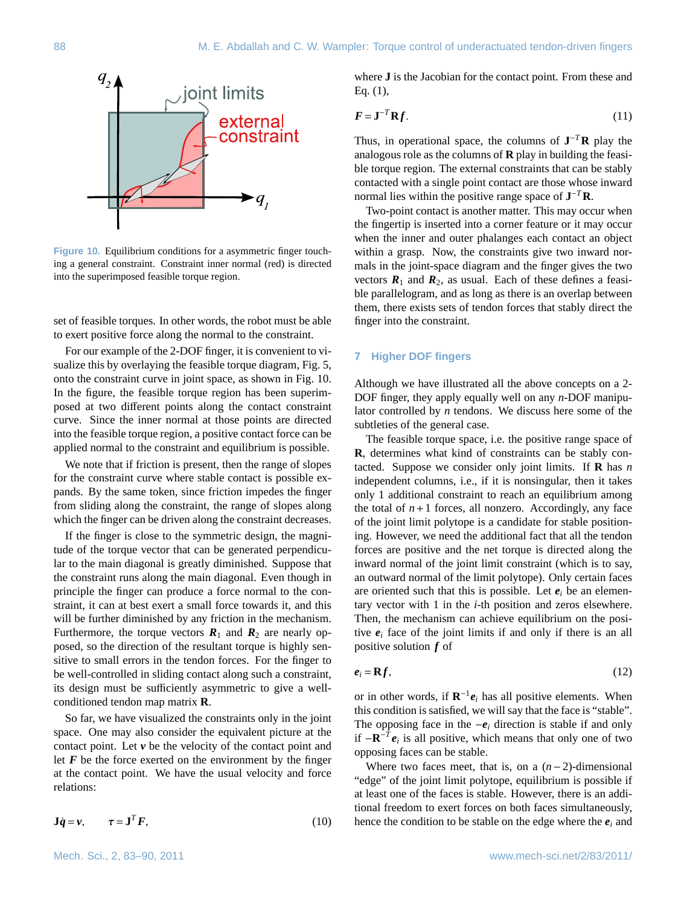

<span id="page-5-0"></span>**Figure 10.** Equilibrium conditions for a asymmetric finger touching a general constraint. Constraint inner normal (red) is directed into the superimposed feasible torque region.

set of feasible torques. In other words, the robot must be able to exert positive force along the normal to the constraint.

For our example of the 2-DOF finger, it is convenient to visualize this by overlaying the feasible torque diagram, Fig. [5,](#page-3-0) onto the constraint curve in joint space, as shown in Fig. [10.](#page-5-0) In the figure, the feasible torque region has been superimposed at two different points along the contact constraint curve. Since the inner normal at those points are directed into the feasible torque region, a positive contact force can be applied normal to the constraint and equilibrium is possible.

We note that if friction is present, then the range of slopes for the constraint curve where stable contact is possible expands. By the same token, since friction impedes the finger from sliding along the constraint, the range of slopes along which the finger can be driven along the constraint decreases.

If the finger is close to the symmetric design, the magnitude of the torque vector that can be generated perpendicular to the main diagonal is greatly diminished. Suppose that the constraint runs along the main diagonal. Even though in principle the finger can produce a force normal to the constraint, it can at best exert a small force towards it, and this will be further diminished by any friction in the mechanism. Furthermore, the torque vectors  $R_1$  and  $R_2$  are nearly opposed, so the direction of the resultant torque is highly sensitive to small errors in the tendon forces. For the finger to be well-controlled in sliding contact along such a constraint, its design must be sufficiently asymmetric to give a wellconditioned tendon map matrix **R**.

So far, we have visualized the constraints only in the joint space. One may also consider the equivalent picture at the contact point. Let *v* be the velocity of the contact point and let  $F$  be the force exerted on the environment by the finger at the contact point. We have the usual velocity and force relations:

$$
\mathbf{J}\dot{\mathbf{q}} = \mathbf{v}, \qquad \tau = \mathbf{J}^T F, \tag{10}
$$

where **J** is the Jacobian for the contact point. From these and Eq. [\(1\)](#page-1-2),

$$
F = \mathbf{J}^{-T} \mathbf{R} f. \tag{11}
$$

Thus, in operational space, the columns of  $J^{-T}R$  play the analogous role as the columns of **R** play in building the feasible torque region. The external constraints that can be stably contacted with a single point contact are those whose inward normal lies within the positive range space of **J** <sup>−</sup>*<sup>T</sup>***R**.

Two-point contact is another matter. This may occur when the fingertip is inserted into a corner feature or it may occur when the inner and outer phalanges each contact an object within a grasp. Now, the constraints give two inward normals in the joint-space diagram and the finger gives the two vectors  $\mathbf{R}_1$  and  $\mathbf{R}_2$ , as usual. Each of these defines a feasible parallelogram, and as long as there is an overlap between them, there exists sets of tendon forces that stably direct the finger into the constraint.

### **7 Higher DOF fingers**

Although we have illustrated all the above concepts on a 2- DOF finger, they apply equally well on any *n*-DOF manipulator controlled by *n* tendons. We discuss here some of the subtleties of the general case.

The feasible torque space, i.e. the positive range space of **R**, determines what kind of constraints can be stably contacted. Suppose we consider only joint limits. If **R** has *n* independent columns, i.e., if it is nonsingular, then it takes only 1 additional constraint to reach an equilibrium among the total of  $n+1$  forces, all nonzero. Accordingly, any face of the joint limit polytope is a candidate for stable positioning. However, we need the additional fact that all the tendon forces are positive and the net torque is directed along the inward normal of the joint limit constraint (which is to say, an outward normal of the limit polytope). Only certain faces are oriented such that this is possible. Let  $e_i$  be an elementary vector with 1 in the *i*-th position and zeros elsewhere. Then, the mechanism can achieve equilibrium on the positive  $e_i$  face of the joint limits if and only if there is an all positive solution *f* of

$$
e_i = \mathbf{R}f,\tag{12}
$$

or in other words, if  $\mathbb{R}^{-1}e_i$  has all positive elements. When this condition is satisfied, we will say that the face is "stable". The opposing face in the  $-e_i$  direction is stable if and only if  $-**R**$ <sup>-*T*</sup> $e_i$  is all positive, which means that only one of two opposing faces can be stable.

Where two faces meet, that is, on a (*n*−2)-dimensional "edge" of the joint limit polytope, equilibrium is possible if at least one of the faces is stable. However, there is an additional freedom to exert forces on both faces simultaneously, hence the condition to be stable on the edge where the  $e_i$  and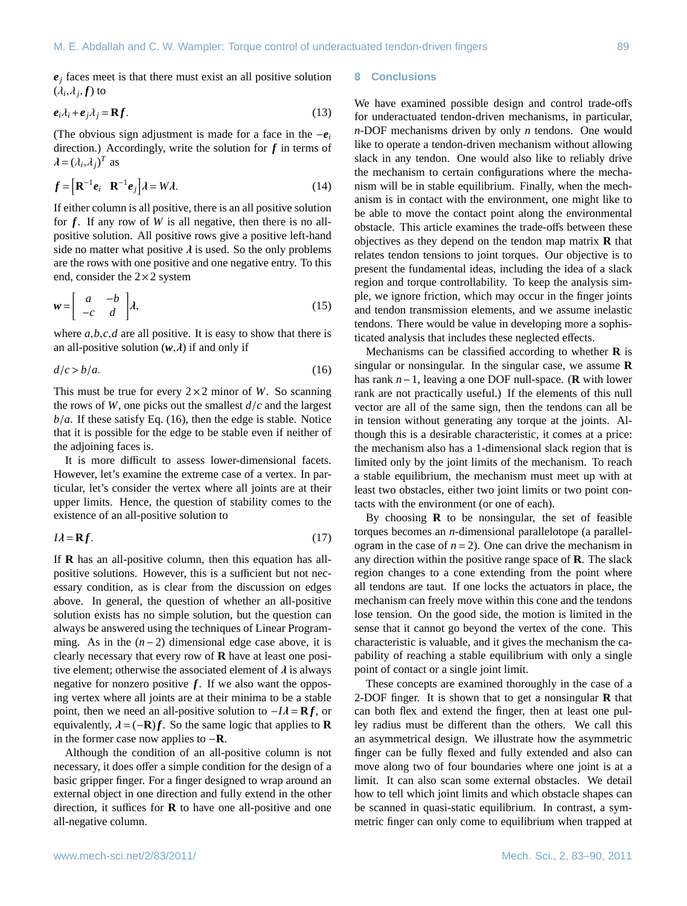$e_i$  faces meet is that there must exist an all positive solution  $(\lambda_i, \lambda_j, f)$  to

$$
\boldsymbol{e}_i \lambda_i + \boldsymbol{e}_j \lambda_j = \mathbf{R} \boldsymbol{f}.\tag{13}
$$

(The obvious sign adjustment is made for a face in the −*e<sup>i</sup>* direction.) Accordingly, write the solution for *f* in terms of  $\lambda = (\lambda_i, \lambda_j)^T$  as

$$
f = \left[\mathbf{R}^{-1}e_i \quad \mathbf{R}^{-1}e_j\right] \lambda = W\lambda. \tag{14}
$$

If either column is all positive, there is an all positive solution for *f*. If any row of *W* is all negative, then there is no allpositive solution. All positive rows give a positive left-hand side no matter what positive  $\lambda$  is used. So the only problems are the rows with one positive and one negative entry. To this end, consider the  $2\times 2$  system

$$
\mathbf{w} = \begin{bmatrix} a & -b \\ -c & d \end{bmatrix} \lambda, \tag{15}
$$

where *<sup>a</sup>*,*b*,*c*,*<sup>d</sup>* are all positive. It is easy to show that there is an all-positive solution  $(w, \lambda)$  if and only if

<span id="page-6-0"></span>
$$
d/c > b/a.
$$
 (16)

This must be true for every  $2 \times 2$  minor of *W*. So scanning the rows of *<sup>W</sup>*, one picks out the smallest *<sup>d</sup>*/*<sup>c</sup>* and the largest  $b/a$ . If these satisfy Eq. [\(16\)](#page-6-0), then the edge is stable. Notice that it is possible for the edge to be stable even if neither of the adjoining faces is.

It is more difficult to assess lower-dimensional facets. However, let's examine the extreme case of a vertex. In particular, let's consider the vertex where all joints are at their upper limits. Hence, the question of stability comes to the existence of an all-positive solution to

$$
IA = \mathbf{R}f. \tag{17}
$$

If **R** has an all-positive column, then this equation has allpositive solutions. However, this is a sufficient but not necessary condition, as is clear from the discussion on edges above. In general, the question of whether an all-positive solution exists has no simple solution, but the question can always be answered using the techniques of Linear Programming. As in the (*n*−2) dimensional edge case above, it is clearly necessary that every row of **R** have at least one positive element; otherwise the associated element of  $\lambda$  is always negative for nonzero positive *f*. If we also want the opposing vertex where all joints are at their minima to be a stable point, then we need an all-positive solution to  $-I\lambda = \mathbf{R}f$ , or equivalently,  $\lambda = (-\mathbf{R})f$ . So the same logic that applies to **R** in the former case now applies to −**R**.

Although the condition of an all-positive column is not necessary, it does offer a simple condition for the design of a basic gripper finger. For a finger designed to wrap around an external object in one direction and fully extend in the other direction, it suffices for **R** to have one all-positive and one all-negative column.

## **8 Conclusions**

We have examined possible design and control trade-offs for underactuated tendon-driven mechanisms, in particular, *n*-DOF mechanisms driven by only *n* tendons. One would like to operate a tendon-driven mechanism without allowing slack in any tendon. One would also like to reliably drive the mechanism to certain configurations where the mechanism will be in stable equilibrium. Finally, when the mechanism is in contact with the environment, one might like to be able to move the contact point along the environmental obstacle. This article examines the trade-offs between these objectives as they depend on the tendon map matrix **R** that relates tendon tensions to joint torques. Our objective is to present the fundamental ideas, including the idea of a slack region and torque controllability. To keep the analysis simple, we ignore friction, which may occur in the finger joints and tendon transmission elements, and we assume inelastic tendons. There would be value in developing more a sophisticated analysis that includes these neglected effects.

Mechanisms can be classified according to whether **R** is singular or nonsingular. In the singular case, we assume **R** has rank *n*−1, leaving a one DOF null-space. (**R** with lower rank are not practically useful.) If the elements of this null vector are all of the same sign, then the tendons can all be in tension without generating any torque at the joints. Although this is a desirable characteristic, it comes at a price: the mechanism also has a 1-dimensional slack region that is limited only by the joint limits of the mechanism. To reach a stable equilibrium, the mechanism must meet up with at least two obstacles, either two joint limits or two point contacts with the environment (or one of each).

By choosing **R** to be nonsingular, the set of feasible torques becomes an *n*-dimensional parallelotope (a parallelogram in the case of  $n = 2$ ). One can drive the mechanism in any direction within the positive range space of **R**. The slack region changes to a cone extending from the point where all tendons are taut. If one locks the actuators in place, the mechanism can freely move within this cone and the tendons lose tension. On the good side, the motion is limited in the sense that it cannot go beyond the vertex of the cone. This characteristic is valuable, and it gives the mechanism the capability of reaching a stable equilibrium with only a single point of contact or a single joint limit.

These concepts are examined thoroughly in the case of a 2-DOF finger. It is shown that to get a nonsingular **R** that can both flex and extend the finger, then at least one pulley radius must be different than the others. We call this an asymmetrical design. We illustrate how the asymmetric finger can be fully flexed and fully extended and also can move along two of four boundaries where one joint is at a limit. It can also scan some external obstacles. We detail how to tell which joint limits and which obstacle shapes can be scanned in quasi-static equilibrium. In contrast, a symmetric finger can only come to equilibrium when trapped at